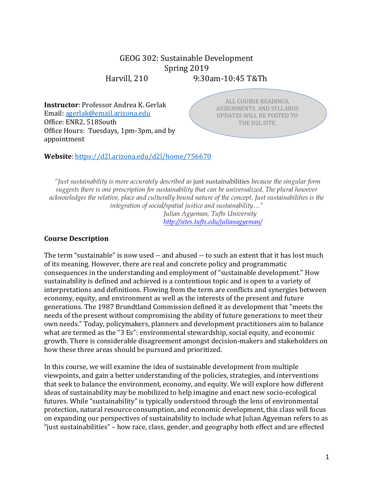# GEOG 302: Sustainable Development Spring 2019

Harvill, 210 9:30am-10:45 T&Th

**Instructor**: Professor Andrea K. Gerlak Email: agerlak@email.arizona.edu Office: ENR2, 518South Office Hours: Tuesdays, 1pm-3pm, and by appointment

ALL COURSE READINGS, ASSIGNMENTS, AND SYLLABUS UPDATES WILL BE POSTED TO THE D2L SITE.

CHECK IN THE CHECK IN THE CHECK

**Website**: https://d2l.arizona.edu/d2l/home/756670

*"Just sustainability is more accurately described as* just sustainabilities *because the singular form suggests there is one prescription for sustainability that can be universalized. The plural however acknowledges the relative, place and culturally bound nature of the concept. Just sustainabilities is the integration of social/spatial justice and sustainability…" Julian Agyeman, Tufts University http://sites.tufts.edu/julianagyeman/*

### **Course Description**

The term "sustainable" is now used -- and abused -- to such an extent that it has lost much of its meaning. However, there are real and concrete policy and programmatic consequences in the understanding and employment of "sustainable development." How sustainability is defined and achieved is a contentious topic and is open to a variety of interpretations and definitions. Flowing from the term are conflicts and synergies between economy, equity, and environment as well as the interests of the present and future generations. The 1987 Brundtland Commission defined it as development that "meets the needs of the present without compromising the ability of future generations to meet their own needs." Today, policymakers, planners and development practitioners aim to balance what are termed as the "3 Es": environmental stewardship, social equity, and economic growth. There is considerable disagreement amongst decision-makers and stakeholders on how these three areas should be pursued and prioritized.

In this course, we will examine the idea of sustainable development from multiple viewpoints, and gain a better understanding of the policies, strategies, and interventions that seek to balance the environment, economy, and equity. We will explore how different ideas of sustainability may be mobilized to help imagine and enact new socio-ecological futures. While "sustainability" is typically understood through the lens of environmental protection, natural resource consumption, and economic development, this class will focus on expanding our perspectives of sustainability to include what Julian Agyeman refers to as "just sustainabilities" – how race, class, gender, and geography both effect and are effected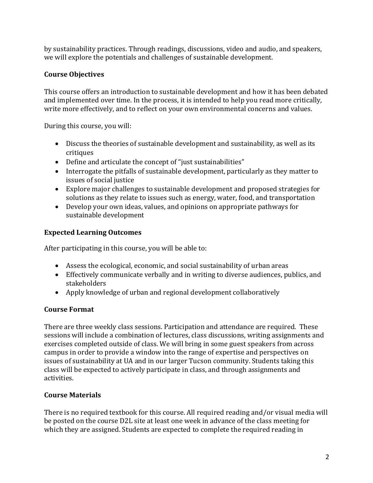by sustainability practices. Through readings, discussions, video and audio, and speakers, we will explore the potentials and challenges of sustainable development.

# **Course Objectives**

This course offers an introduction to sustainable development and how it has been debated and implemented over time. In the process, it is intended to help you read more critically, write more effectively, and to reflect on your own environmental concerns and values.

During this course, you will:

- Discuss the theories of sustainable development and sustainability, as well as its critiques
- Define and articulate the concept of "just sustainabilities"
- Interrogate the pitfalls of sustainable development, particularly as they matter to issues of social justice
- Explore major challenges to sustainable development and proposed strategies for solutions as they relate to issues such as energy, water, food, and transportation
- Develop your own ideas, values, and opinions on appropriate pathways for sustainable development

# **Expected Learning Outcomes**

After participating in this course, you will be able to:

- Assess the ecological, economic, and social sustainability of urban areas
- Effectively communicate verbally and in writing to diverse audiences, publics, and stakeholders
- Apply knowledge of urban and regional development collaboratively

## **Course Format**

There are three weekly class sessions. Participation and attendance are required. These sessions will include a combination of lectures, class discussions, writing assignments and exercises completed outside of class. We will bring in some guest speakers from across campus in order to provide a window into the range of expertise and perspectives on issues of sustainability at UA and in our larger Tucson community. Students taking this class will be expected to actively participate in class, and through assignments and activities. 

## **Course Materials**

There is no required textbook for this course. All required reading and/or visual media will be posted on the course D2L site at least one week in advance of the class meeting for which they are assigned. Students are expected to complete the required reading in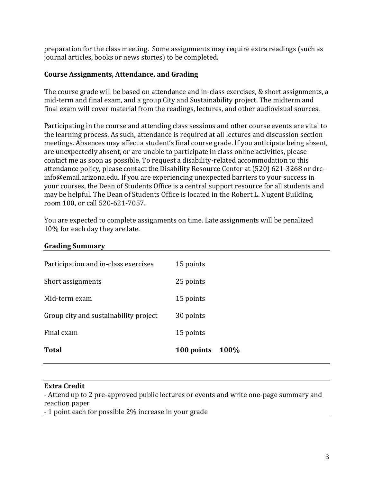preparation for the class meeting. Some assignments may require extra readings (such as journal articles, books or news stories) to be completed.

#### **Course Assignments, Attendance, and Grading**

The course grade will be based on attendance and in-class exercises, & short assignments, a mid-term and final exam, and a group City and Sustainability project. The midterm and final exam will cover material from the readings, lectures, and other audiovisual sources.

Participating in the course and attending class sessions and other course events are vital to the learning process. As such, attendance is required at all lectures and discussion section meetings. Absences may affect a student's final course grade. If you anticipate being absent, are unexpectedly absent, or are unable to participate in class online activities, please contact me as soon as possible. To request a disability-related accommodation to this attendance policy, please contact the Disability Resource Center at (520) 621-3268 or drcinfo@email.arizona.edu. If you are experiencing unexpected barriers to your success in your courses, the Dean of Students Office is a central support resource for all students and may be helpful. The Dean of Students Office is located in the Robert L. Nugent Building, room 100, or call 520-621-7057.

You are expected to complete assignments on time. Late assignments will be penalized 10% for each day they are late.

| <b>Total</b>                          | 100 points<br>100% |
|---------------------------------------|--------------------|
| Final exam                            | 15 points          |
| Group city and sustainability project | 30 points          |
| Mid-term exam                         | 15 points          |
| Short assignments                     | 25 points          |
| Participation and in-class exercises  | 15 points          |
| $\bullet$                             |                    |

#### **Grading Summary**

#### **Extra Credit**

- Attend up to 2 pre-approved public lectures or events and write one-page summary and reaction paper

- 1 point each for possible 2% increase in your grade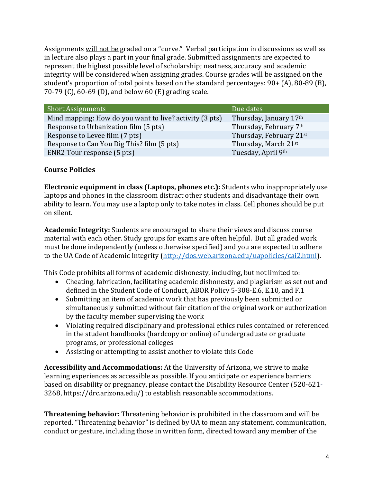Assignments will not be graded on a "curve." Verbal participation in discussions as well as in lecture also plays a part in your final grade. Submitted assignments are expected to represent the highest possible level of scholarship; neatness, accuracy and academic integrity will be considered when assigning grades. Course grades will be assigned on the student's proportion of total points based on the standard percentages:  $90+$  (A),  $80-89$  (B), 70-79 (C), 60-69 (D), and below 60 (E) grading scale.

| <b>Short Assignments</b>                                | Due dates               |
|---------------------------------------------------------|-------------------------|
| Mind mapping: How do you want to live? activity (3 pts) | Thursday, January 17th  |
| Response to Urbanization film (5 pts)                   | Thursday, February 7th  |
| Response to Levee film (7 pts)                          | Thursday, February 21st |
| Response to Can You Dig This? film (5 pts)              | Thursday, March 21st    |
| ENR2 Tour response (5 pts)                              | Tuesday, April 9th      |

# **Course Policies**

**Electronic equipment in class (Laptops, phones etc.):** Students who inappropriately use laptops and phones in the classroom distract other students and disadvantage their own ability to learn. You may use a laptop only to take notes in class. Cell phones should be put on silent. 

**Academic Integrity:** Students are encouraged to share their views and discuss course material with each other. Study groups for exams are often helpful. But all graded work must be done independently (unless otherwise specified) and you are expected to adhere to the UA Code of Academic Integrity (http://dos.web.arizona.edu/uapolicies/cai2.html).

This Code prohibits all forms of academic dishonesty, including, but not limited to:

- Cheating, fabrication, facilitating academic dishonesty, and plagiarism as set out and defined in the Student Code of Conduct, ABOR Policy 5-308-E.6, E.10, and F.1
- Submitting an item of academic work that has previously been submitted or simultaneously submitted without fair citation of the original work or authorization by the faculty member supervising the work
- Violating required disciplinary and professional ethics rules contained or referenced in the student handbooks (hardcopy or online) of undergraduate or graduate programs, or professional colleges
- Assisting or attempting to assist another to violate this Code

**Accessibility and Accommodations:** At the University of Arizona, we strive to make learning experiences as accessible as possible. If you anticipate or experience barriers based on disability or pregnancy, please contact the Disability Resource Center (520-621-3268, https://drc.arizona.edu/) to establish reasonable accommodations.

**Threatening behavior:** Threatening behavior is prohibited in the classroom and will be reported. "Threatening behavior" is defined by UA to mean any statement, communication, conduct or gesture, including those in written form, directed toward any member of the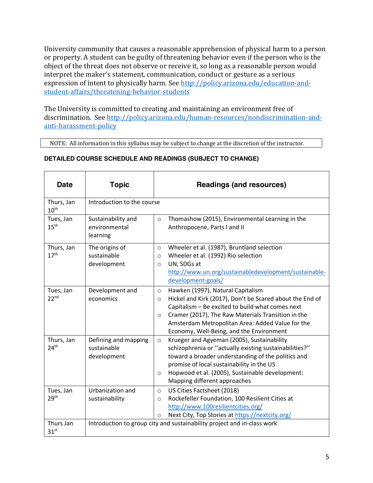University community that causes a reasonable apprehension of physical harm to a person or property. A student can be guilty of threatening behavior even if the person who is the object of the threat does not observe or receive it, so long as a reasonable person would interpret the maker's statement, communication, conduct or gesture as a serious expression of intent to physically harm. See http://policy.arizona.edu/education-andstudent-affairs/threatening-behavior-students

The University is committed to creating and maintaining an environment free of discrimination. See http://policy.arizona.edu/human-resources/nondiscrimination-andanti-harassment-policy

NOTE: All information in this syllabus may be subject to change at the discretion of the instructor.

| <b>Date</b>                    | <b>Topic</b>                                       | <b>Readings (and resources)</b>                                                                                                                                                                                                                                                                                                           |
|--------------------------------|----------------------------------------------------|-------------------------------------------------------------------------------------------------------------------------------------------------------------------------------------------------------------------------------------------------------------------------------------------------------------------------------------------|
| Thurs, Jan<br>10 <sup>th</sup> | Introduction to the course                         |                                                                                                                                                                                                                                                                                                                                           |
| Tues, Jan<br>15 <sup>th</sup>  | Sustainability and<br>environmental<br>learning    | Thomashow (2015), Environmental Learning in the<br>$\circ$<br>Anthropocene, Parts I and II                                                                                                                                                                                                                                                |
| Thurs, Jan<br>17 <sup>th</sup> | The origins of<br>sustainable<br>development       | Wheeler et al. (1987), Bruntland selection<br>$\circ$<br>Wheeler et al. (1992) Rio selection<br>$\circ$<br>UN, SDGs at<br>$\circ$<br>http://www.un.org/sustainabledevelopment/sustainable-<br>development-goals/                                                                                                                          |
| Tues, Jan<br>22 <sup>nd</sup>  | Development and<br>economics                       | Hawken (1997), Natural Capitalism<br>$\circ$<br>Hickel and Kirk (2017), Don't be Scared about the End of<br>$\Omega$<br>Capitalism - Be excited to build what comes next<br>Cramer (2017), The Raw Materials Transition in the<br>$\circ$<br>Amsterdam Metropolitan Area: Added Value for the<br>Economy, Well-Being, and the Environment |
| Thurs, Jan<br>24 <sup>th</sup> | Defining and mapping<br>sustainable<br>development | Krueger and Agyeman (2005), Sustainability<br>$\circ$<br>schizophrenia or "actually existing sustainabilities?"<br>toward a broader understanding of the politics and<br>promise of local sustainability in the US<br>Hopwood et al. (2005), Sustainable development:<br>$\circ$<br>Mapping different approaches                          |
| Tues, Jan<br>29 <sup>th</sup>  | Urbanization and<br>sustainability                 | US Cities Factsheet (2018)<br>$\circ$<br>Rockefeller Foundation, 100 Resilient Cities at<br>$\circ$<br>http://www.100resilientcities.org/<br>Next City, Top Stories at https://nextcity.org/<br>$\circ$                                                                                                                                   |
| Thurs Jan<br>31 <sup>st</sup>  |                                                    | Introduction to group city and sustainability project and in-class work                                                                                                                                                                                                                                                                   |

#### **DETAILED COURSE SCHEDULE AND READINGS (SUBJECT TO CHANGE)**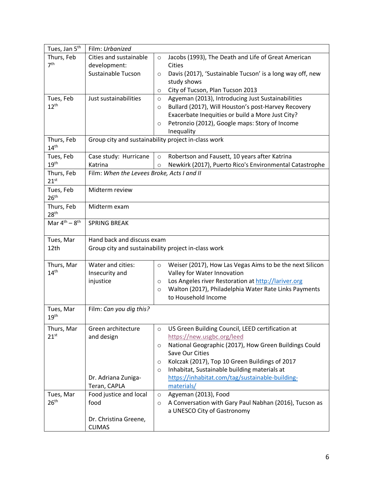| Tues, Jan 5 <sup>th</sup>      | Film: Urbanized                                     |                                                                      |  |
|--------------------------------|-----------------------------------------------------|----------------------------------------------------------------------|--|
| Thurs, Feb                     | Cities and sustainable                              | Jacobs (1993), The Death and Life of Great American<br>$\circ$       |  |
| 7 <sup>th</sup>                | development:                                        | Cities                                                               |  |
|                                | Sustainable Tucson                                  | Davis (2017), 'Sustainable Tucson' is a long way off, new<br>$\circ$ |  |
|                                |                                                     | study shows                                                          |  |
|                                |                                                     | City of Tucson, Plan Tucson 2013<br>$\circ$                          |  |
| Tues, Feb                      | Just sustainabilities                               | Agyeman (2013), Introducing Just Sustainabilities<br>$\circ$         |  |
| $12^{th}$                      |                                                     | Bullard (2017), Will Houston's post-Harvey Recovery<br>$\circ$       |  |
|                                |                                                     | Exacerbate Inequities or build a More Just City?                     |  |
|                                |                                                     | Petronzio (2012), Google maps: Story of Income<br>$\circ$            |  |
|                                |                                                     | Inequality                                                           |  |
| Thurs, Feb<br>14 <sup>th</sup> | Group city and sustainability project in-class work |                                                                      |  |
| Tues, Feb                      | Case study: Hurricane                               | Robertson and Fausett, 10 years after Katrina<br>$\circ$             |  |
| 19 <sup>th</sup>               | Katrina                                             | Newkirk (2017), Puerto Rico's Environmental Catastrophe<br>$\circ$   |  |
| Thurs, Feb<br>$21^{st}$        | Film: When the Levees Broke, Acts I and II          |                                                                      |  |
| Tues, Feb<br>26 <sup>th</sup>  | Midterm review                                      |                                                                      |  |
| Thurs, Feb<br>28 <sup>th</sup> | Midterm exam                                        |                                                                      |  |
| Mar $4^{th} - 8^{th}$          | <b>SPRING BREAK</b>                                 |                                                                      |  |
| Tues, Mar                      | Hand back and discuss exam                          |                                                                      |  |
| 12th                           |                                                     | Group city and sustainability project in-class work                  |  |
| Thurs, Mar                     | Water and cities:                                   | Weiser (2017), How Las Vegas Aims to be the next Silicon<br>$\circ$  |  |
| 14 <sup>th</sup>               | Insecurity and                                      | Valley for Water Innovation                                          |  |
|                                | injustice                                           | Los Angeles river Restoration at http://lariver.org<br>$\circ$       |  |
|                                |                                                     | Walton (2017), Philadelphia Water Rate Links Payments<br>$\circ$     |  |
|                                |                                                     | to Household Income                                                  |  |
| Tues, Mar<br>19 <sup>th</sup>  | Film: Can you dig this?                             |                                                                      |  |
| Thurs, Mar                     | Green architecture                                  | US Green Building Council, LEED certification at<br>$\circ$          |  |
| $21^{st}$                      | and design                                          | https://new.usgbc.org/leed                                           |  |
|                                |                                                     | National Geographic (2017), How Green Buildings Could<br>$\circ$     |  |
|                                |                                                     | Save Our Cities                                                      |  |
|                                |                                                     | Kolczak (2017), Top 10 Green Buildings of 2017<br>$\circ$            |  |
|                                |                                                     | Inhabitat, Sustainable building materials at<br>$\circ$              |  |
|                                | Dr. Adriana Zuniga-                                 | https://inhabitat.com/tag/sustainable-building-                      |  |
|                                | Teran, CAPLA                                        | materials/                                                           |  |
| Tues, Mar                      | Food justice and local                              | Agyeman (2013), Food<br>$\circ$                                      |  |
| 26 <sup>th</sup>               | food                                                | A Conversation with Gary Paul Nabhan (2016), Tucson as<br>$\circ$    |  |
|                                |                                                     |                                                                      |  |
|                                |                                                     | a UNESCO City of Gastronomy                                          |  |
|                                | Dr. Christina Greene,                               |                                                                      |  |